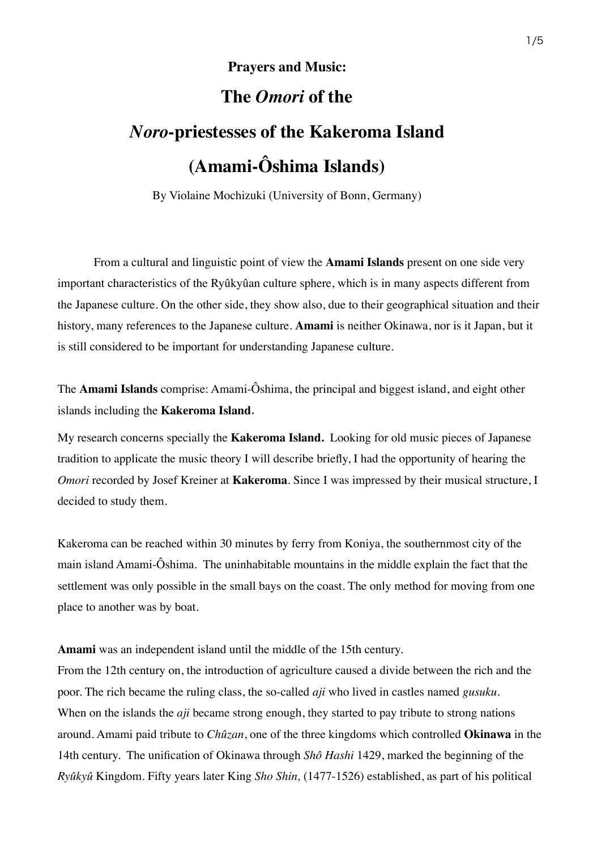## **Prayers and Music:**

## **The** *Omori* **of the**

## *Noro***-priestesses of the Kakeroma Island (Amami-Ôshima Islands)**

By Violaine Mochizuki (University of Bonn, Germany)

From a cultural and linguistic point of view the **Amami Islands** present on one side very important characteristics of the Ryûkyûan culture sphere, which is in many aspects different from the Japanese culture. On the other side, they show also, due to their geographical situation and their history, many references to the Japanese culture. **Amami** is neither Okinawa, nor is it Japan, but it is still considered to be important for understanding Japanese culture.

The **Amami Islands** comprise: Amami-Ôshima, the principal and biggest island, and eight other islands including the **Kakeroma Island**.

My research concerns specially the **Kakeroma Island.** Looking for old music pieces of Japanese tradition to applicate the music theory I will describe briefly, I had the opportunity of hearing the *Omori* recorded by Josef Kreiner at **Kakeroma**. Since I was impressed by their musical structure, I decided to study them.

Kakeroma can be reached within 30 minutes by ferry from Koniya, the southernmost city of the main island Amami-Ôshima. The uninhabitable mountains in the middle explain the fact that the settlement was only possible in the small bays on the coast. The only method for moving from one place to another was by boat.

**Amami** was an independent island until the middle of the 15th century.

From the 12th century on, the introduction of agriculture caused a divide between the rich and the poor. The rich became the ruling class, the so-called *aji* who lived in castles named *gusuku.*  When on the islands the *aji* became strong enough, they started to pay tribute to strong nations around. Amami paid tribute to *Chûzan*, one of the three kingdoms which controlled **Okinawa** in the 14th century. The unification of Okinawa through *Shô Hashi* 1429, marked the beginning of the *Ryûkyû* Kingdom. Fifty years later King *Sho Shin,* (1477-1526) established, as part of his political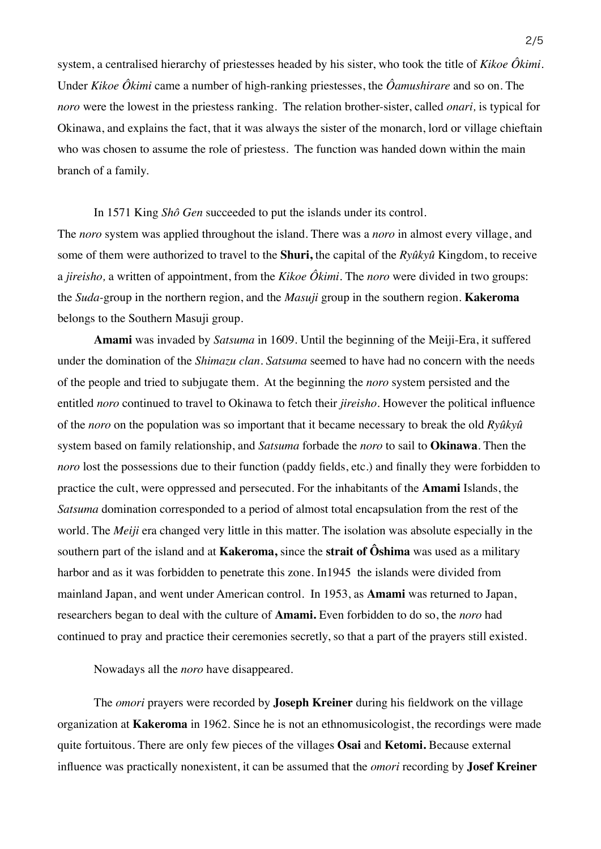system, a centralised hierarchy of priestesses headed by his sister, who took the title of *Kikoe Ôkimi*. Under *Kikoe Ôkimi* came a number of high-ranking priestesses, the *Ôamushirare* and so on. The *noro* were the lowest in the priestess ranking*.* The relation brother-sister, called *onari,* is typical for Okinawa, and explains the fact, that it was always the sister of the monarch, lord or village chieftain who was chosen to assume the role of priestess. The function was handed down within the main branch of a family.

In 1571 King *Shô Gen* succeeded to put the islands under its control. The *noro* system was applied throughout the island. There was a *noro* in almost every village, and some of them were authorized to travel to the **Shuri,** the capital of the *Ryûkyû* Kingdom, to receive a *jireisho,* a written of appointment, from the *Kikoe Ôkimi.* The *noro* were divided in two groups: the *Suda-*group in the northern region, and the *Masuji* group in the southern region. **Kakeroma** belongs to the Southern Masuji group.

**Amami** was invaded by *Satsuma* in 1609. Until the beginning of the Meiji-Era, it suffered under the domination of the *Shimazu clan. Satsuma* seemed to have had no concern with the needs of the people and tried to subjugate them. At the beginning the *noro* system persisted and the entitled *noro* continued to travel to Okinawa to fetch their *jireisho*. However the political influence of the *noro* on the population was so important that it became necessary to break the old *Ryûkyû* system based on family relationship, and *Satsuma* forbade the *noro* to sail to **Okinawa**. Then the *noro* lost the possessions due to their function (paddy fields, etc.) and finally they were forbidden to practice the cult, were oppressed and persecuted. For the inhabitants of the **Amami** Islands, the *Satsuma* domination corresponded to a period of almost total encapsulation from the rest of the world. The *Meiji* era changed very little in this matter. The isolation was absolute especially in the southern part of the island and at **Kakeroma,** since the **strait of Ôshima** was used as a military harbor and as it was forbidden to penetrate this zone. In1945 the islands were divided from mainland Japan, and went under American control. In 1953, as **Amami** was returned to Japan, researchers began to deal with the culture of **Amami.** Even forbidden to do so, the *noro* had continued to pray and practice their ceremonies secretly, so that a part of the prayers still existed.

Nowadays all the *noro* have disappeared.

The *omori* prayers were recorded by **Joseph Kreiner** during his fieldwork on the village organization at **Kakeroma** in 1962. Since he is not an ethnomusicologist, the recordings were made quite fortuitous. There are only few pieces of the villages **Osai** and **Ketomi.** Because external influence was practically nonexistent, it can be assumed that the *omori* recording by **Josef Kreiner**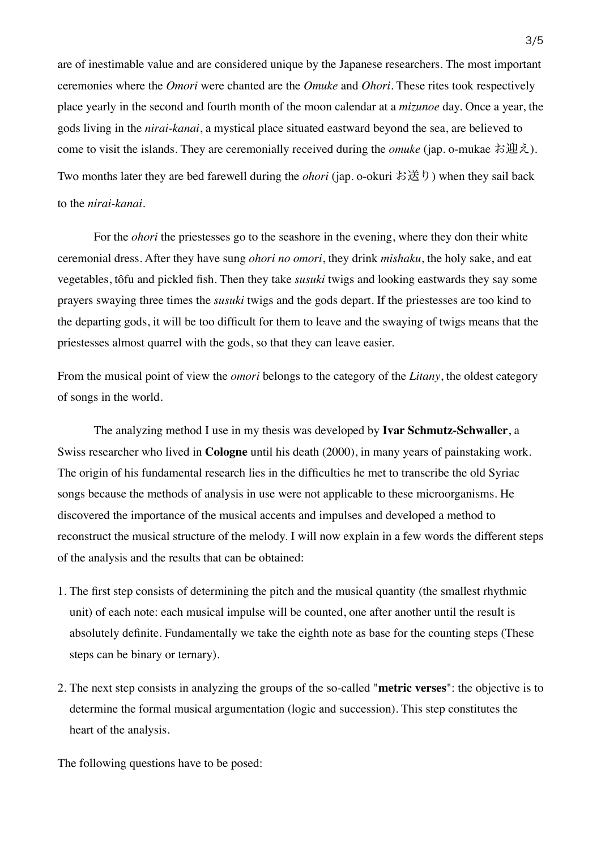are of inestimable value and are considered unique by the Japanese researchers. The most important ceremonies where the *Omori* were chanted are the *Omuke* and *Ohori*. These rites took respectively place yearly in the second and fourth month of the moon calendar at a *mizunoe* day. Once a year, the gods living in the *nirai-kanai*, a mystical place situated eastward beyond the sea, are believed to come to visit the islands. They are ceremonially received during the *omuke* (jap. o-mukae お迎え). Two months later they are bed farewell during the *ohori* (jap. o-okuri お送り) when they sail back to the *nirai-kanai.*

For the *ohori* the priestesses go to the seashore in the evening, where they don their white ceremonial dress. After they have sung *ohori no omori*, they drink *mishaku*, the holy sake, and eat vegetables, tôfu and pickled fish. Then they take *susuki* twigs and looking eastwards they say some prayers swaying three times the *susuki* twigs and the gods depart. If the priestesses are too kind to the departing gods, it will be too difficult for them to leave and the swaying of twigs means that the priestesses almost quarrel with the gods, so that they can leave easier.

From the musical point of view the *omori* belongs to the category of the *Litany*, the oldest category of songs in the world.

The analyzing method I use in my thesis was developed by **Ivar Schmutz-Schwaller**, a Swiss researcher who lived in **Cologne** until his death (2000), in many years of painstaking work. The origin of his fundamental research lies in the difficulties he met to transcribe the old Syriac songs because the methods of analysis in use were not applicable to these microorganisms. He discovered the importance of the musical accents and impulses and developed a method to reconstruct the musical structure of the melody. I will now explain in a few words the different steps of the analysis and the results that can be obtained:

- 1. The first step consists of determining the pitch and the musical quantity (the smallest rhythmic unit) of each note: each musical impulse will be counted, one after another until the result is absolutely definite. Fundamentally we take the eighth note as base for the counting steps (These steps can be binary or ternary).
- 2. The next step consists in analyzing the groups of the so-called "**metric verses**": the objective is to determine the formal musical argumentation (logic and succession). This step constitutes the heart of the analysis.

The following questions have to be posed: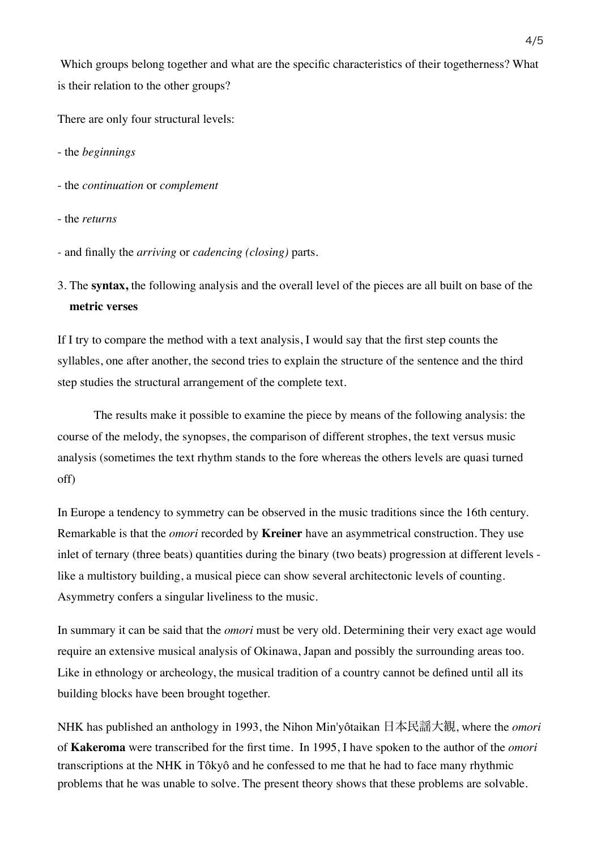Which groups belong together and what are the specific characteristics of their togetherness? What is their relation to the other groups?

There are only four structural levels:

- the *beginnings*

- the *continuation* or *complement*
- the *returns*
- and finally the *arriving* or *cadencing (closing)* parts.
- 3. The **syntax,** the following analysis and the overall level of the pieces are all built on base of the **metric verses**

If I try to compare the method with a text analysis, I would say that the first step counts the syllables, one after another, the second tries to explain the structure of the sentence and the third step studies the structural arrangement of the complete text.

The results make it possible to examine the piece by means of the following analysis: the course of the melody, the synopses, the comparison of different strophes, the text versus music analysis (sometimes the text rhythm stands to the fore whereas the others levels are quasi turned off)

In Europe a tendency to symmetry can be observed in the music traditions since the 16th century. Remarkable is that the *omori* recorded by **Kreiner** have an asymmetrical construction. They use inlet of ternary (three beats) quantities during the binary (two beats) progression at different levels like a multistory building, a musical piece can show several architectonic levels of counting. Asymmetry confers a singular liveliness to the music.

In summary it can be said that the *omori* must be very old. Determining their very exact age would require an extensive musical analysis of Okinawa, Japan and possibly the surrounding areas too. Like in ethnology or archeology, the musical tradition of a country cannot be defined until all its building blocks have been brought together.

NHK has published an anthology in 1993, the Nihon Min'yôtaikan 日本民謡大観, where the *omori*  of **Kakeroma** were transcribed for the first time. In 1995, I have spoken to the author of the *omori*  transcriptions at the NHK in Tôkyô and he confessed to me that he had to face many rhythmic problems that he was unable to solve. The present theory shows that these problems are solvable.